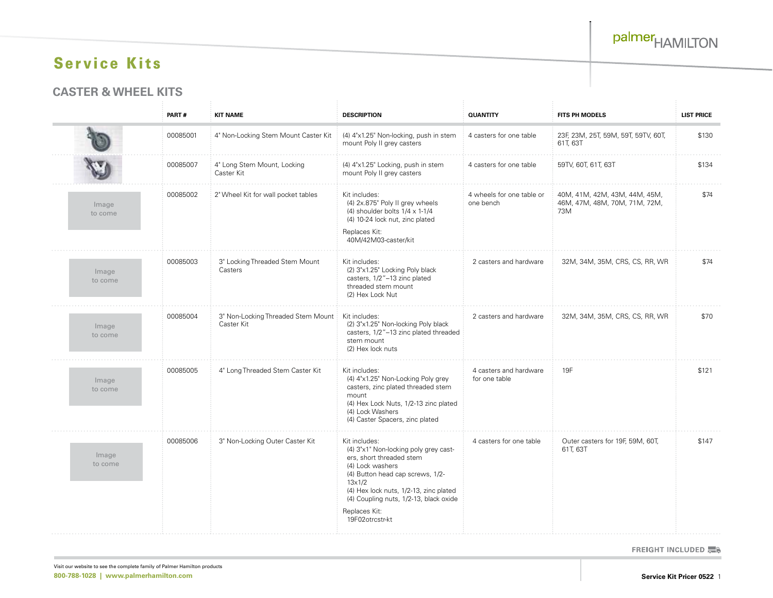#### **CASTER & WHEEL KITS**

|                  | PART#    | <b>KIT NAME</b>                                  | <b>DESCRIPTION</b>                                                                                                                                                                                                                                                                  | <b>QUANTITY</b>                         | <b>FITS PH MODELS</b>                                                 | <b>LIST PRICE</b> |
|------------------|----------|--------------------------------------------------|-------------------------------------------------------------------------------------------------------------------------------------------------------------------------------------------------------------------------------------------------------------------------------------|-----------------------------------------|-----------------------------------------------------------------------|-------------------|
|                  | 00085001 | 4" Non-Locking Stem Mount Caster Kit             | (4) 4"x1.25" Non-locking, push in stem<br>mount Poly II grey casters                                                                                                                                                                                                                | 4 casters for one table                 | 23F, 23M, 25T, 59M, 59T, 59TV, 60T,<br>61T, 63T                       | \$130             |
|                  | 00085007 | 4" Long Stem Mount, Locking<br>Caster Kit        | (4) 4"x1.25" Locking, push in stem<br>mount Poly II grey casters                                                                                                                                                                                                                    | 4 casters for one table                 | 59TV, 60T, 61T, 63T                                                   | \$134             |
| Image<br>to come | 00085002 | 2" Wheel Kit for wall pocket tables              | Kit includes:<br>(4) 2x.875" Poly II grey wheels<br>(4) shoulder bolts $1/4 \times 1$ -1/4<br>(4) 10-24 lock nut, zinc plated<br>Replaces Kit:<br>40M/42M03-caster/kit                                                                                                              | 4 wheels for one table or<br>one bench  | 40M, 41M, 42M, 43M, 44M, 45M,<br>46M, 47M, 48M, 70M, 71M, 72M,<br>73M | \$74              |
| Image<br>to come | 00085003 | 3" Locking Threaded Stem Mount<br>Casters        | Kit includes:<br>(2) 3"x1.25" Locking Poly black<br>casters, 1/2"-13 zinc plated<br>threaded stem mount<br>(2) Hex Lock Nut                                                                                                                                                         | 2 casters and hardware                  | 32M, 34M, 35M, CRS, CS, RR, WR                                        | \$74              |
| Image<br>to come | 00085004 | 3" Non-Locking Threaded Stem Mount<br>Caster Kit | Kit includes:<br>(2) 3"x1.25" Non-locking Poly black<br>casters, 1/2"-13 zinc plated threaded<br>stem mount<br>(2) Hex lock nuts                                                                                                                                                    | 2 casters and hardware                  | 32M, 34M, 35M, CRS, CS, RR, WR                                        | \$70              |
| Image<br>to come | 00085005 | 4" Long Threaded Stem Caster Kit                 | Kit includes:<br>(4) 4"x1.25" Non-Locking Poly grey<br>casters, zinc plated threaded stem<br>mount<br>(4) Hex Lock Nuts, 1/2-13 zinc plated<br>(4) Lock Washers<br>(4) Caster Spacers, zinc plated                                                                                  | 4 casters and hardware<br>for one table | 19F                                                                   | \$121             |
| Image<br>to come | 00085006 | 3" Non-Locking Outer Caster Kit                  | Kit includes:<br>(4) 3"x1" Non-locking poly grey cast-<br>ers, short threaded stem<br>(4) Lock washers<br>(4) Button head cap screws, 1/2-<br>$13\times1/2$<br>(4) Hex lock nuts, 1/2-13, zinc plated<br>(4) Coupling nuts, 1/2-13, black oxide<br>Replaces Kit:<br>19F02otrcstr-kt | 4 casters for one table                 | Outer casters for 19F, 59M, 60T,<br>61T, 63T                          | \$147             |

**FREIGHT INCLUDED 票8**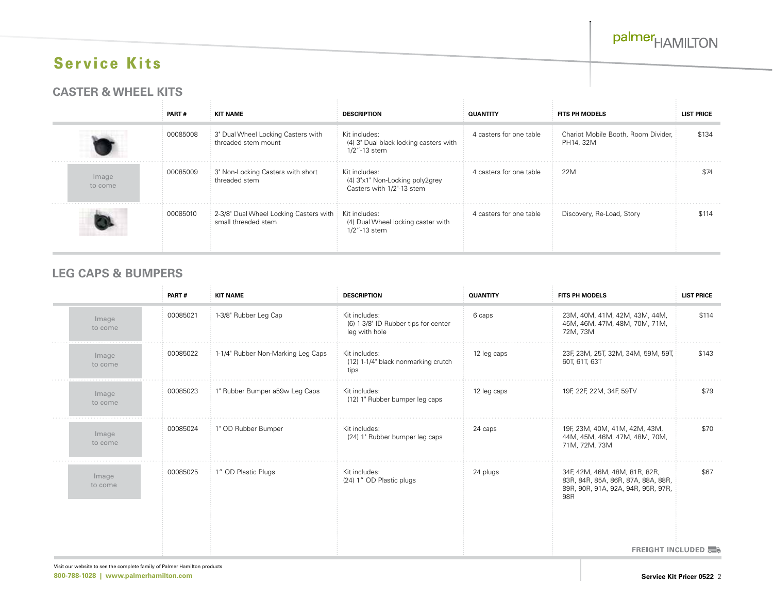#### **CASTER & WHEEL KITS**

|                  | PART#    | <b>KIT NAME</b>                                                             | <b>DESCRIPTION</b>                                                            | <b>QUANTITY</b>         | <b>FITS PH MODELS</b>                            | <b>LIST PRICE</b> |
|------------------|----------|-----------------------------------------------------------------------------|-------------------------------------------------------------------------------|-------------------------|--------------------------------------------------|-------------------|
|                  | 00085008 | 3" Dual Wheel Locking Casters with<br>threaded stem mount                   | Kit includes:<br>(4) 3" Dual black locking casters with<br>1/2"-13 stem       | 4 casters for one table | Chariot Mobile Booth, Room Divider,<br>PH14, 32M | \$134             |
| Image<br>to come | 00085009 | 3" Non-Locking Casters with short<br>threaded stem                          | Kit includes:<br>(4) 3"x1" Non-Locking poly2grey<br>Casters with 1/2"-13 stem | 4 casters for one table | 22M                                              | \$74              |
|                  | 00085010 | 2-3/8" Dual Wheel Locking Casters with Kit includes:<br>small threaded stem | (4) Dual Wheel locking caster with<br>1/2"-13 stem                            | 4 casters for one table | Discovery, Re-Load, Story                        | \$114             |

### **LEG CAPS & BUMPERS**

|                  | PART#    | <b>KIT NAME</b>                    | <b>DESCRIPTION</b>                                                     | <b>QUANTITY</b> | <b>FITS PH MODELS</b>                                                                                                        | <b>LIST PRICE</b>              |
|------------------|----------|------------------------------------|------------------------------------------------------------------------|-----------------|------------------------------------------------------------------------------------------------------------------------------|--------------------------------|
| Image<br>to come | 00085021 | 1-3/8" Rubber Leg Cap              | Kit includes:<br>(6) 1-3/8" ID Rubber tips for center<br>leg with hole | 6 caps          | 23M, 40M, 41M, 42M, 43M, 44M,<br>45M, 46M, 47M, 48M, 70M, 71M,<br>72M, 73M                                                   | \$114                          |
| Image<br>to come | 00085022 | 1-1/4" Rubber Non-Marking Leg Caps | Kit includes:<br>(12) 1-1/4" black nonmarking crutch<br>tips           | 12 leg caps     | 23F, 23M, 25T, 32M, 34M, 59M, 59T,<br>60T, 61T, 63T                                                                          | \$143                          |
| Image<br>to come | 00085023 | 1" Rubber Bumper a59w Leg Caps     | Kit includes:<br>(12) 1" Rubber bumper leg caps                        | 12 leg caps     | 19F, 22F, 22M, 34F, 59TV                                                                                                     | \$79                           |
| Image<br>to come | 00085024 | 1" OD Rubber Bumper                | Kit includes:<br>(24) 1" Rubber bumper leg caps                        | 24 caps         | 19F, 23M, 40M, 41M, 42M, 43M,<br>44M, 45M, 46M, 47M, 48M, 70M,<br>71M, 72M, 73M                                              | \$70                           |
| Image<br>to come | 00085025 | 1" OD Plastic Plugs                | Kit includes:<br>(24) 1" OD Plastic plugs                              | 24 plugs        | 34F, 42M, 46M, 48M, 81R, 82R,<br>83R, 84R, 85A, 86R, 87A, 88A, 88R,<br>89R, 90R, 91A, 92A, 94R, 95R, 97R,<br>98 <sub>R</sub> | \$67                           |
|                  |          |                                    |                                                                        |                 |                                                                                                                              | <b>FREIGHT INCLUDED 黑&amp;</b> |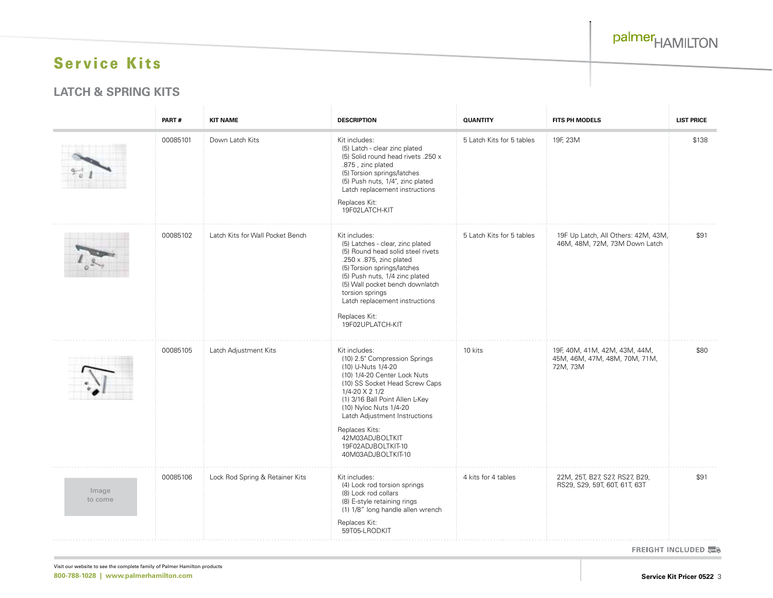#### **LATCH & SPRING KITS**

|                  | PART#    | <b>KIT NAME</b>                  | <b>DESCRIPTION</b>                                                                                                                                                                                                                                                                                                                      | <b>QUANTITY</b>           | FITS PH MODELS                                                             | <b>LIST PRICE</b> |
|------------------|----------|----------------------------------|-----------------------------------------------------------------------------------------------------------------------------------------------------------------------------------------------------------------------------------------------------------------------------------------------------------------------------------------|---------------------------|----------------------------------------------------------------------------|-------------------|
|                  | 00085101 | Down Latch Kits                  | Kit includes:<br>(5) Latch - clear zinc plated<br>(5) Solid round head rivets .250 x<br>.875, zinc plated<br>(5) Torsion springs/latches<br>(5) Push nuts, 1/4", zinc plated<br>Latch replacement instructions<br>Replaces Kit:<br>19F02LATCH-KIT                                                                                       | 5 Latch Kits for 5 tables | 19F, 23M                                                                   | \$138             |
|                  | 00085102 | Latch Kits for Wall Pocket Bench | Kit includes:<br>(5) Latches - clear, zinc plated<br>(5) Round head solid steel rivets<br>.250 x .875, zinc plated<br>(5) Torsion springs/latches<br>(5) Push nuts, 1/4 zinc plated<br>(5) Wall pocket bench downlatch<br>torsion springs<br>Latch replacement instructions<br>Replaces Kit:<br>19F02UPLATCH-KIT                        | 5 Latch Kits for 5 tables | 19F Up Latch, All Others: 42M, 43M,<br>46M, 48M, 72M, 73M Down Latch       | \$91              |
|                  | 00085105 | Latch Adjustment Kits            | Kit includes:<br>(10) 2.5" Compression Springs<br>(10) U-Nuts 1/4-20<br>(10) 1/4-20 Center Lock Nuts<br>(10) SS Socket Head Screw Caps<br>1/4-20 X 2 1/2<br>(1) 3/16 Ball Point Allen L-Key<br>(10) Nyloc Nuts 1/4-20<br>Latch Adjustment Instructions<br>Replaces Kits:<br>42M03ADJBOLTKIT<br>19F02ADJBOLTKIT-10<br>40M03ADJBOLTKIT-10 | 10 kits                   | 19F, 40M, 41M, 42M, 43M, 44M,<br>45M, 46M, 47M, 48M, 70M, 71M,<br>72M, 73M | \$80              |
| Image<br>to come | 00085106 | Lock Rod Spring & Retainer Kits  | Kit includes:<br>(4) Lock rod torsion springs<br>(8) Lock rod collars<br>(8) E-style retaining rings<br>(1) 1/8" long handle allen wrench<br>Replaces Kit:<br>59T05-LRODKIT                                                                                                                                                             | 4 kits for 4 tables       | 22M, 25T, B27, S27, RS27, B29,<br>RS29, S29, 59T, 60T, 61T, 63T            | \$91              |

**FREIGHT INCLUDED 票8**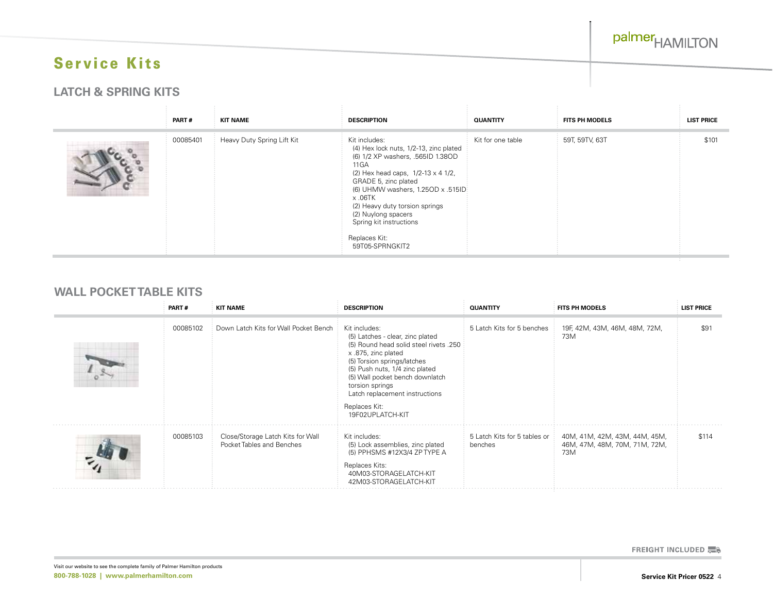#### **LATCH & SPRING KITS**

| PART#    | <b>KIT NAME</b>            | <b>DESCRIPTION</b>                                                                                                                                                                                                                                                                                                                                   | <b>QUANTITY</b>   | <b>FITS PH MODELS</b> | <b>LIST PRICE</b> |
|----------|----------------------------|------------------------------------------------------------------------------------------------------------------------------------------------------------------------------------------------------------------------------------------------------------------------------------------------------------------------------------------------------|-------------------|-----------------------|-------------------|
| 00085401 | Heavy Duty Spring Lift Kit | Kit includes:<br>(4) Hex lock nuts, 1/2-13, zinc plated<br>(6) 1/2 XP washers, .565ID 1.38OD<br>11 G A<br>(2) Hex head caps, $1/2-13 \times 41/2$ ,<br>GRADE 5, zinc plated<br>(6) UHMW washers, 1.25OD x .515ID:<br>x .06TK<br>(2) Heavy duty torsion springs<br>(2) Nuylong spacers<br>Spring kit instructions<br>Replaces Kit:<br>59T05-SPRNGKIT2 | Kit for one table | 59T, 59TV, 63T        | \$101             |

#### **WALL POCKET TABLE KITS**

| PART#    | <b>KIT NAME</b>                                                | <b>DESCRIPTION</b>                                                                                                                                                                                                                                                                                               | <b>QUANTITY</b>                         | <b>FITS PH MODELS</b>                                                 | <b>LIST PRICE</b> |
|----------|----------------------------------------------------------------|------------------------------------------------------------------------------------------------------------------------------------------------------------------------------------------------------------------------------------------------------------------------------------------------------------------|-----------------------------------------|-----------------------------------------------------------------------|-------------------|
| 00085102 | Down Latch Kits for Wall Pocket Bench                          | Kit includes:<br>(5) Latches - clear, zinc plated<br>(5) Round head solid steel rivets .250<br>x .875, zinc plated<br>(5) Torsion springs/latches<br>(5) Push nuts, 1/4 zinc plated<br>(5) Wall pocket bench downlatch<br>torsion springs<br>Latch replacement instructions<br>Replaces Kit:<br>19F02UPLATCH-KIT | 5 Latch Kits for 5 benches              | 19F, 42M, 43M, 46M, 48M, 72M,<br>73M                                  | \$91              |
| 00085103 | Close/Storage Latch Kits for Wall<br>Pocket Tables and Benches | Kit includes:<br>(5) Lock assemblies, zinc plated<br>(5) PPHSMS #12X3/4 ZP TYPE A<br>Replaces Kits:<br>40M03-STORAGELATCH-KIT<br>42M03-STORAGELATCH-KIT                                                                                                                                                          | 5 Latch Kits for 5 tables or<br>benches | 40M, 41M, 42M, 43M, 44M, 45M,<br>46M, 47M, 48M, 70M, 71M, 72M,<br>73M | \$114             |

**FREIGHT INCLUDED 票8**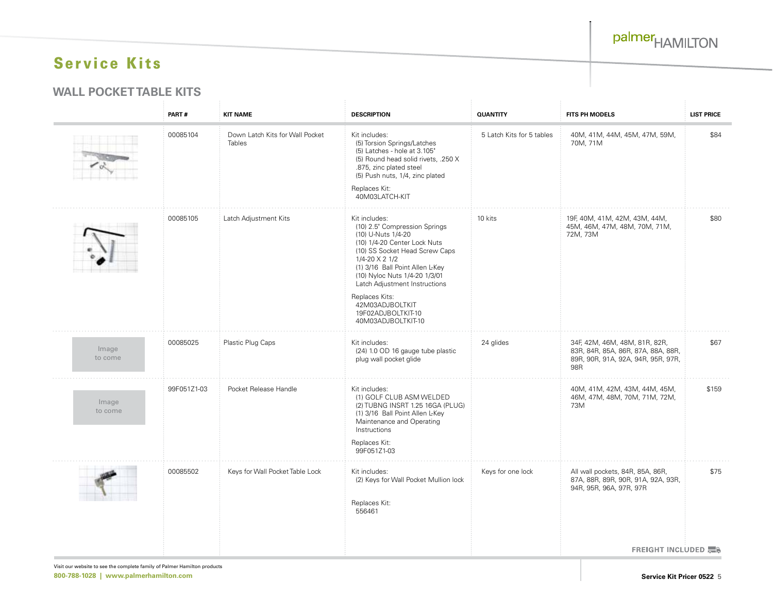palmer<sub>HAMILTON</sub>

# Service Kits

#### **WALL POCKET TABLE KITS**

|                  | PART#       | <b>KIT NAME</b>                                  | <b>DESCRIPTION</b>                                                                                                                                                                                                                                                                                                                             | <b>QUANTITY</b>           | <b>FITS PH MODELS</b>                                                                                            | <b>LIST PRICE</b> |
|------------------|-------------|--------------------------------------------------|------------------------------------------------------------------------------------------------------------------------------------------------------------------------------------------------------------------------------------------------------------------------------------------------------------------------------------------------|---------------------------|------------------------------------------------------------------------------------------------------------------|-------------------|
|                  | 00085104    | Down Latch Kits for Wall Pocket<br><b>Tables</b> | Kit includes:<br>(5) Torsion Springs/Latches<br>(5) Latches - hole at 3.105"<br>(5) Round head solid rivets, .250 X<br>.875, zinc plated steel<br>(5) Push nuts, 1/4, zinc plated<br>Replaces Kit:<br>40M03LATCH-KIT                                                                                                                           | 5 Latch Kits for 5 tables | 40M, 41M, 44M, 45M, 47M, 59M,<br>70M, 71M                                                                        | \$84              |
|                  | 00085105    | Latch Adjustment Kits                            | Kit includes:<br>(10) 2.5" Compression Springs<br>(10) U-Nuts 1/4-20<br>(10) 1/4-20 Center Lock Nuts<br>(10) SS Socket Head Screw Caps<br>1/4-20 X 2 1/2<br>(1) 3/16 Ball Point Allen L-Key<br>(10) Nyloc Nuts 1/4-20 1/3/01<br>Latch Adjustment Instructions<br>Replaces Kits:<br>42M03ADJBOLTKIT<br>19F02ADJBOLTKIT-10<br>40M03ADJBOLTKIT-10 | 10 kits                   | 19F, 40M, 41M, 42M, 43M, 44M,<br>45M, 46M, 47M, 48M, 70M, 71M,<br>72M, 73M                                       | \$80              |
| Image<br>to come | 00085025    | Plastic Plug Caps                                | Kit includes:<br>(24) 1.0 OD 16 gauge tube plastic<br>plug wall pocket glide                                                                                                                                                                                                                                                                   | 24 glides                 | 34F, 42M, 46M, 48M, 81R, 82R,<br>83R, 84R, 85A, 86R, 87A, 88A, 88R,<br>89R, 90R, 91A, 92A, 94R, 95R, 97R,<br>98R | \$67              |
| Image<br>to come | 99F051Z1-03 | Pocket Release Handle                            | Kit includes:<br>(1) GOLF CLUB ASM WELDED<br>(2) TUBNG INSRT 1.25 16GA (PLUG)<br>(1) 3/16 Ball Point Allen L-Key<br>Maintenance and Operating<br>Instructions<br>Replaces Kit:<br>99F051Z1-03                                                                                                                                                  |                           | 40M, 41M, 42M, 43M, 44M, 45M,<br>46M, 47M, 48M, 70M, 71M, 72M,<br>73M                                            | \$159             |
|                  | 00085502    | Keys for Wall Pocket Table Lock                  | Kit includes:<br>(2) Keys for Wall Pocket Mullion lock<br>Replaces Kit:<br>556461                                                                                                                                                                                                                                                              | Keys for one lock         | All wall pockets, 84R, 85A, 86R,<br>87A, 88R, 89R, 90R, 91A, 92A, 93R,<br>94R, 95R, 96A, 97R, 97R                | \$75              |
|                  |             |                                                  |                                                                                                                                                                                                                                                                                                                                                |                           | <b>FREIGHT INCLUDED</b>                                                                                          |                   |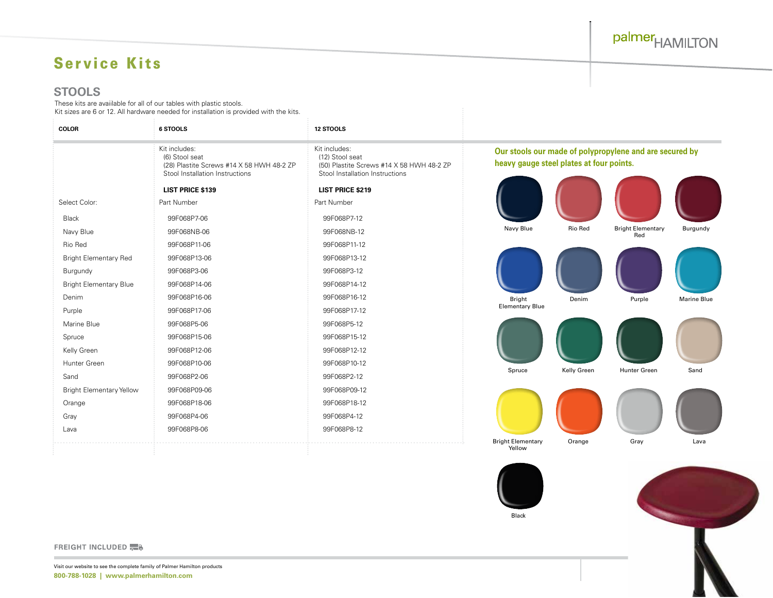# palmer<sub>HAMILTON</sub>

# Service Kits

#### **STOOLS**

These kits are avaiilable for all of our tables with plastic stools. Kit sizes are 6 or 12. All hardware needed for installation is provided with the kits.

 $\sim$  10  $\pm$ 

| <b>COLOR</b>                    | 6 STOOLS                                                                                                        | <b>12 STOOLS</b>                                                                                                 |                                          |             |                                                         |                    |
|---------------------------------|-----------------------------------------------------------------------------------------------------------------|------------------------------------------------------------------------------------------------------------------|------------------------------------------|-------------|---------------------------------------------------------|--------------------|
|                                 | Kit includes:<br>(6) Stool seat<br>(28) Plastite Screws #14 X 58 HWH 48-2 ZP<br>Stool Installation Instructions | Kit includes:<br>(12) Stool seat<br>(50) Plastite Screws #14 X 58 HWH 48-2 ZP<br>Stool Installation Instructions | heavy gauge steel plates at four points. |             | Our stools our made of polypropylene and are secured by |                    |
|                                 | <b>LIST PRICE \$139</b>                                                                                         | <b>LIST PRICE \$219</b>                                                                                          |                                          |             |                                                         |                    |
| Select Color:                   | Part Number                                                                                                     | Part Number                                                                                                      |                                          |             |                                                         |                    |
| Black                           | 99F068P7-06                                                                                                     | 99F068P7-12                                                                                                      |                                          |             |                                                         |                    |
| Navy Blue                       | 99F068NB-06                                                                                                     | 99F068NB-12                                                                                                      | Navy Blue                                | Rio Red     | <b>Bright Elementary</b><br>Red                         | Burgundy           |
| Rio Red                         | 99F068P11-06                                                                                                    | 99F068P11-12                                                                                                     |                                          |             |                                                         |                    |
| <b>Bright Elementary Red</b>    | 99F068P13-06                                                                                                    | 99F068P13-12                                                                                                     |                                          |             |                                                         |                    |
| Burgundy                        | 99F068P3-06                                                                                                     | 99F068P3-12                                                                                                      |                                          |             |                                                         |                    |
| <b>Bright Elementary Blue</b>   | 99F068P14-06                                                                                                    | 99F068P14-12                                                                                                     |                                          |             |                                                         |                    |
| Denim                           | 99F068P16-06                                                                                                    | 99F068P16-12                                                                                                     | <b>Bright</b>                            | Denim       | Purple                                                  | <b>Marine Blue</b> |
| Purple                          | 99F068P17-06                                                                                                    | 99F068P17-12                                                                                                     | <b>Elementary Blue</b>                   |             |                                                         |                    |
| Marine Blue                     | 99F068P5-06                                                                                                     | 99F068P5-12                                                                                                      |                                          |             |                                                         |                    |
| Spruce                          | 99F068P15-06                                                                                                    | 99F068P15-12                                                                                                     |                                          |             |                                                         |                    |
| Kelly Green                     | 99F068P12-06                                                                                                    | 99F068P12-12                                                                                                     |                                          |             |                                                         |                    |
| Hunter Green                    | 99F068P10-06                                                                                                    | 99F068P10-12                                                                                                     | Spruce                                   | Kelly Green | <b>Hunter Green</b>                                     | Sand               |
| Sand                            | 99F068P2-06                                                                                                     | 99F068P2-12                                                                                                      |                                          |             |                                                         |                    |
| <b>Bright Elementary Yellow</b> | 99F068P09-06                                                                                                    | 99F068P09-12                                                                                                     |                                          |             |                                                         |                    |
| Orange                          | 99F068P18-06                                                                                                    | 99F068P18-12                                                                                                     |                                          |             |                                                         |                    |
| Gray                            | 99F068P4-06                                                                                                     | 99F068P4-12                                                                                                      |                                          |             |                                                         |                    |
| Lava                            | 99F068P8-06                                                                                                     | 99F068P8-12                                                                                                      |                                          |             |                                                         |                    |
|                                 |                                                                                                                 |                                                                                                                  | <b>Bright Elementary</b><br>Yellow       | Orange      | Gray                                                    | Lava               |
|                                 |                                                                                                                 |                                                                                                                  |                                          |             |                                                         |                    |



**FREIGHT INCLUDED 黑**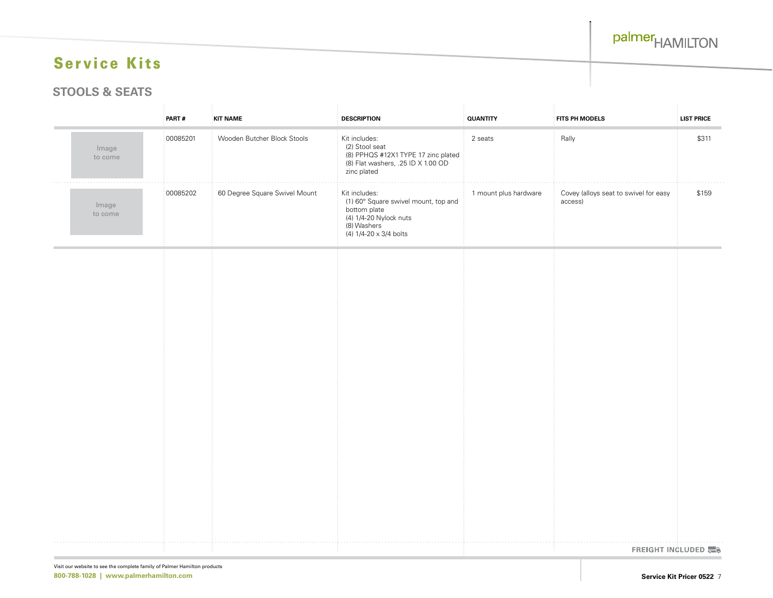#### **STOOLS & SEATS**

|                  | PART#    | KIT NAME                      | <b>DESCRIPTION</b>                                                                                                                       | <b>QUANTITY</b>       | FITS PH MODELS                                   | <b>LIST PRICE</b> |
|------------------|----------|-------------------------------|------------------------------------------------------------------------------------------------------------------------------------------|-----------------------|--------------------------------------------------|-------------------|
| Image<br>to come | 00085201 | Wooden Butcher Block Stools   | Kit includes:<br>(2) Stool seat<br>(8) PPHQS #12X1 TYPE 17 zinc plated<br>(8) Flat washers, .25 ID X 1.00 OD<br>zinc plated              | 2 seats               | Rally                                            | \$311             |
| Image<br>to come | 00085202 | 60 Degree Square Swivel Mount | Kit includes:<br>(1) 60° Square swivel mount, top and<br>bottom plate<br>(4) 1/4-20 Nylock nuts<br>(8) Washers<br>(4) 1/4-20 x 3/4 bolts | 1 mount plus hardware | Covey (alloys seat to swivel for easy<br>access) | \$159             |
|                  |          |                               |                                                                                                                                          |                       |                                                  |                   |
|                  |          |                               |                                                                                                                                          |                       |                                                  |                   |
|                  |          |                               |                                                                                                                                          |                       |                                                  |                   |
|                  |          |                               |                                                                                                                                          |                       |                                                  |                   |
|                  |          |                               |                                                                                                                                          |                       |                                                  |                   |
|                  |          |                               |                                                                                                                                          |                       |                                                  |                   |
|                  |          |                               |                                                                                                                                          |                       |                                                  |                   |
|                  |          |                               |                                                                                                                                          |                       |                                                  |                   |
|                  |          |                               |                                                                                                                                          |                       |                                                  |                   |
|                  |          |                               |                                                                                                                                          |                       | FREIGHT INCLUDED                                 |                   |